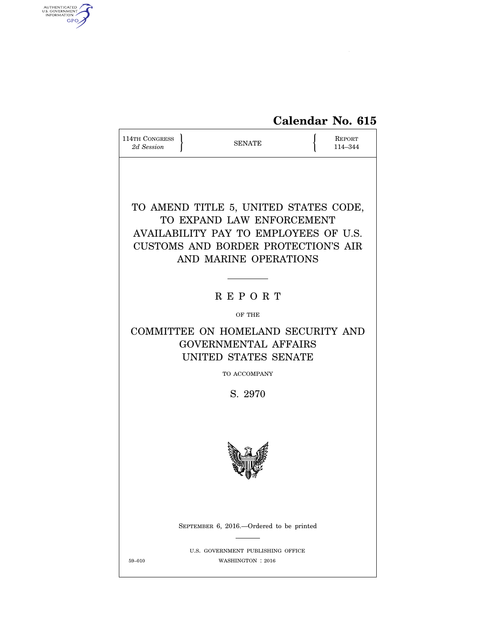# **Calendar No. 615**

| 114TH CONGRESS<br><b>SENATE</b><br>2d Session                                                                                                                               |                                                        | REPORT<br>114-344 |  |  |  |  |  |
|-----------------------------------------------------------------------------------------------------------------------------------------------------------------------------|--------------------------------------------------------|-------------------|--|--|--|--|--|
| TO AMEND TITLE 5, UNITED STATES CODE,<br>TO EXPAND LAW ENFORCEMENT<br>AVAILABILITY PAY TO EMPLOYEES OF U.S.<br>CUSTOMS AND BORDER PROTECTION'S AIR<br>AND MARINE OPERATIONS |                                                        |                   |  |  |  |  |  |
|                                                                                                                                                                             | <b>REPORT</b>                                          |                   |  |  |  |  |  |
|                                                                                                                                                                             | OF THE                                                 |                   |  |  |  |  |  |
| COMMITTEE ON HOMELAND SECURITY AND<br><b>GOVERNMENTAL AFFAIRS</b><br>UNITED STATES SENATE                                                                                   |                                                        |                   |  |  |  |  |  |
| TO ACCOMPANY                                                                                                                                                                |                                                        |                   |  |  |  |  |  |
| S. 2970                                                                                                                                                                     |                                                        |                   |  |  |  |  |  |
|                                                                                                                                                                             |                                                        |                   |  |  |  |  |  |
|                                                                                                                                                                             | SEPTEMBER 6, 2016.—Ordered to be printed               |                   |  |  |  |  |  |
| 59-010                                                                                                                                                                      | U.S. GOVERNMENT PUBLISHING OFFICE<br>WASHINGTON : 2016 |                   |  |  |  |  |  |

AUTHENTICATED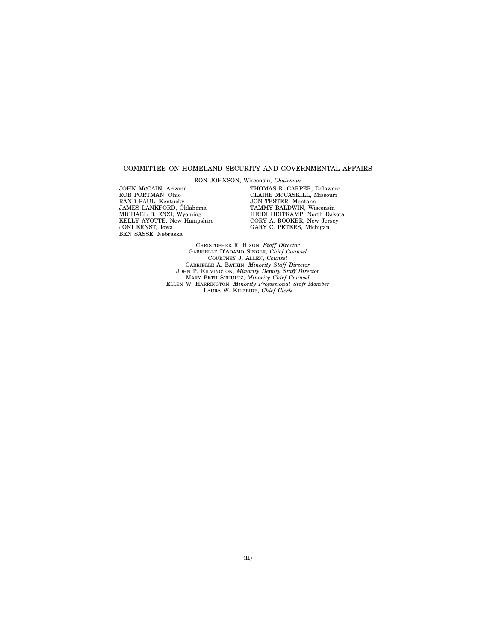#### COMMITTEE ON HOMELAND SECURITY AND GOVERNMENTAL AFFAIRS

RON JOHNSON, Wisconsin, *Chairman* 

JOHN MCCAIN, Arizona ROB PORTMAN, Ohio RAND PAUL, Kentucky JAMES LANKFORD, Oklahoma MICHAEL B. ENZI, Wyoming KELLY AYOTTE, New Hampshire JONI ERNST, Iowa BEN SASSE, Nebraska

THOMAS R. CARPER, Delaware CLAIRE MCCASKILL, Missouri JON TESTER, Montana TAMMY BALDWIN, Wisconsin HEIDI HEITKAMP, North Dakota CORY A. BOOKER, New Jersey GARY C. PETERS, Michigan

CHRISTOPHER R. HIXON, *Staff Director*  GABRIELLE D'ADAMO SINGER, *Chief Counsel*  COURTNEY J. ALLEN, *Counsel*  GABRIELLE A. BATKIN, *Minority Staff Director*  JOHN P. KILVINGTON, *Minority Deputy Staff Director*  MARY BETH SCHULTZ, *Minority Chief Counsel*  ELLEN W. HARRINGTON, *Minority Professional Staff Member*  LAURA W. KILBRIDE, *Chief Clerk*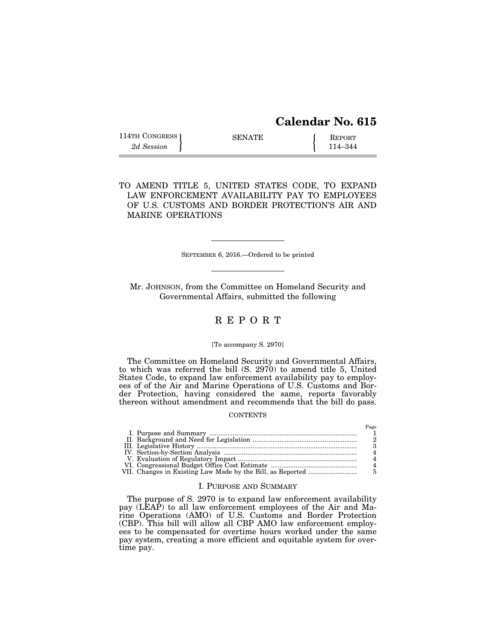# **Calendar No. 615**

Page

| 114TH CONGRESS ) | <b>SENATE</b> | REPORT  |
|------------------|---------------|---------|
| 2d Session       |               | 114–344 |

TO AMEND TITLE 5, UNITED STATES CODE, TO EXPAND LAW ENFORCEMENT AVAILABILITY PAY TO EMPLOYEES OF U.S. CUSTOMS AND BORDER PROTECTION'S AIR AND MARINE OPERATIONS

SEPTEMBER 6, 2016.—Ordered to be printed

Mr. JOHNSON, from the Committee on Homeland Security and Governmental Affairs, submitted the following

### R E P O R T

#### [To accompany S. 2970]

The Committee on Homeland Security and Governmental Affairs, to which was referred the bill (S. 2970) to amend title 5, United States Code, to expand law enforcement availability pay to employees of of the Air and Marine Operations of U.S. Customs and Border Protection, having considered the same, reports favorably thereon without amendment and recommends that the bill do pass.

#### **CONTENTS**

#### I. PURPOSE AND SUMMARY

The purpose of S. 2970 is to expand law enforcement availability pay (LEAP) to all law enforcement employees of the Air and Marine Operations (AMO) of U.S. Customs and Border Protection (CBP). This bill will allow all CBP AMO law enforcement employees to be compensated for overtime hours worked under the same pay system, creating a more efficient and equitable system for overtime pay.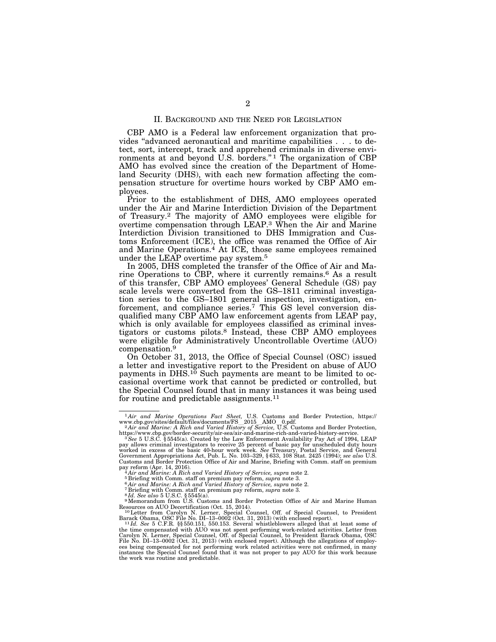#### II. BACKGROUND AND THE NEED FOR LEGISLATION

CBP AMO is a Federal law enforcement organization that provides ''advanced aeronautical and maritime capabilities . . . to detect, sort, intercept, track and apprehend criminals in diverse environments at and beyond U.S. borders."<sup>1</sup> The organization of CBP AMO has evolved since the creation of the Department of Homeland Security (DHS), with each new formation affecting the compensation structure for overtime hours worked by CBP AMO employees.

Prior to the establishment of DHS, AMO employees operated under the Air and Marine Interdiction Division of the Department of Treasury.2 The majority of AMO employees were eligible for overtime compensation through LEAP.3 When the Air and Marine Interdiction Division transitioned to DHS Immigration and Customs Enforcement (ICE), the office was renamed the Office of Air and Marine Operations.4 At ICE, those same employees remained under the LEAP overtime pay system.5

In 2005, DHS completed the transfer of the Office of Air and Marine Operations to CBP, where it currently remains.6 As a result of this transfer, CBP AMO employees' General Schedule (GS) pay scale levels were converted from the GS–1811 criminal investigation series to the GS–1801 general inspection, investigation, enforcement, and compliance series.7 This GS level conversion disqualified many CBP AMO law enforcement agents from LEAP pay, which is only available for employees classified as criminal investigators or customs pilots.8 Instead, these CBP AMO employees were eligible for Administratively Uncontrollable Overtime (AUO) compensation.9

On October 31, 2013, the Office of Special Counsel (OSC) issued a letter and investigative report to the President on abuse of AUO payments in DHS. $1\bar{0}$  Such payments are meant to be limited to occasional overtime work that cannot be predicted or controlled, but the Special Counsel found that in many instances it was being used for routine and predictable assignments.11

<sup>1</sup> *Air and Marine Operations Fact Sheet,* U.S. Customs and Border Protection, https://

<sup>&</sup>lt;sup>2</sup> Air and Marine: A Rich and Varied History of Service, U.S. Customs and Border Protection, https://www.cbp.gov/border-security/air-sea/air-and-marine-rich-and-varied-history-service. 3*See* 5 U.S.C. § 5545(a). Created by the Law Enforcement Availability Pay Act of 1994, LEAP

pay allows criminal investigators to receive 25 percent of basic pay for unscheduled duty hours worked in excess of the basic 40-hour work week. *See* Treasury, Postal Service, and General Government Appropriations Act, Pub. L. No. 103–329, § 633, 108 Stat. 2425 (1994); *see also* U.S. Customs and Border Protection Office of Air and Marine, Briefing with Comm. staff on premium<br>pay reform (Apr. 14, 2016).<br><sup>4</sup> Air and Marine: A Rich and Varied History of Service, supra note 2.

<sup>&</sup>lt;sup>5</sup> Briefing with Comm. staff on premium pay reform, supra note 3.<br>
<sup>6</sup> Air and Marine: A Rich and Varied History of Service, supra note 3.<br>
<sup>6</sup> Air and Marine: A Rich and Varied History of Service, supra note 2.<br>
<sup>8</sup> H. Resources on AUO Decertification (Oct. 15, 2014).<br><sup>10</sup>Letter from Carolyn N. Lerner, Special Counsel, Off. of Special Counsel, to President

Barack Obama, OSC File No. DI–13–0002 (Oct. 31, 2013) (with enclosed report). 11 *Id. See* 5 C.F.R. §§ 550.151, 550.153. Several whistleblowers alleged that at least some of

the time compensated with AUO was not spent performing work-related activities. Letter from<br>Carolyn N. Lerner, Special Counsel, Off. of Special Counsel, to President Barack Obama, OSC<br>File No. DI–13–0002 (Oct. 31, 2013) (w ees being compensated for not performing work related activities were not confirmed, in many instances the Special Counsel found that it was not proper to pay AUO for this work because the work was routine and predictable.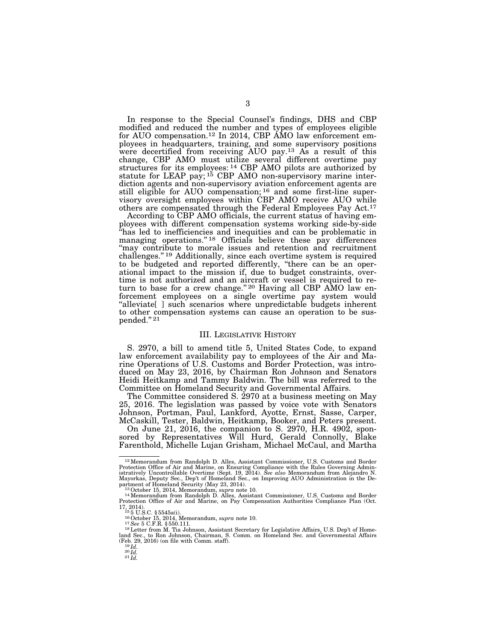In response to the Special Counsel's findings, DHS and CBP modified and reduced the number and types of employees eligible for AUO compensation.<sup>12</sup> In 2014, CBP AMO law enforcement employees in headquarters, training, and some supervisory positions were decertified from receiving AUO pay.13 As a result of this change, CBP AMO must utilize several different overtime pay structures for its employees: 14 CBP AMO pilots are authorized by statute for LEAP pay; <sup>15</sup> CBP AMO non-supervisory marine interdiction agents and non-supervisory aviation enforcement agents are still eligible for AUO compensation; 16 and some first-line supervisory oversight employees within CBP AMO receive AUO while others are compensated through the Federal Employees Pay Act.17

According to CBP AMO officials, the current status of having employees with different compensation systems working side-by-side ''has led to inefficiencies and inequities and can be problematic in managing operations."<sup>18</sup> Officials believe these pay differences ''may contribute to morale issues and retention and recruitment challenges.'' 19 Additionally, since each overtime system is required to be budgeted and reported differently, "there can be an operational impact to the mission if, due to budget constraints, overtime is not authorized and an aircraft or vessel is required to return to base for a crew change." <sup>20</sup> Having all CBP AMO law enforcement employees on a single overtime pay system would "alleviate[] such scenarios where unpredictable budgets inherent to other compensation systems can cause an operation to be sus $p$ ended."  $^{21}$ 

#### III. LEGISLATIVE HISTORY

S. 2970, a bill to amend title 5, United States Code, to expand law enforcement availability pay to employees of the Air and Marine Operations of U.S. Customs and Border Protection, was introduced on May 23, 2016, by Chairman Ron Johnson and Senators Heidi Heitkamp and Tammy Baldwin. The bill was referred to the Committee on Homeland Security and Governmental Affairs.

The Committee considered S. 2970 at a business meeting on May 25, 2016. The legislation was passed by voice vote with Senators Johnson, Portman, Paul, Lankford, Ayotte, Ernst, Sasse, Carper, McCaskill, Tester, Baldwin, Heitkamp, Booker, and Peters present.

On June 21, 2016, the companion to S. 2970, H.R. 4902, sponsored by Representatives Will Hurd, Gerald Connolly, Blake Farenthold, Michelle Lujan Grisham, Michael McCaul, and Martha

<sup>12</sup>Memorandum from Randolph D. Alles, Assistant Commissioner, U.S. Customs and Border Protection Office of Air and Marine, on Ensuring Compliance with the Rules Governing Admin-istratively Uncontrollable Overtime (Sept. 19, 2014). *See also* Memorandum from Alejandro N. Mayorkas, Deputy Sec., Dep't of Homeland Sec., on Improving AUO Administration in the Department of Homeland Security (May 23, 2014).<br>1<sup>3</sup> October 15, 2014, Memorandum, *supra* note 10.<br><sup>13</sup> October 15, 2014, Memorandum *s* 

Protection Office of Air and Marine, on Pay Compensation Authorities Compliance Plan (Oct. 17, 2014). 15 5 U.S.C. § 5545a(i). 16October 15, 2014, Memorandum, *supra* note 10. 17*See* 5 C.F.R. § 550.111.

land Sec., to Ron Johnson, Chairman, S. Comm. on Homeland Sec. and Governmental Affairs <sup>19</sup>*Id.*<br>(Feb. 29, 2016) (on file with Comm. staff).<br><sup>19</sup>*Id.* <sup>20</sup>*Id.*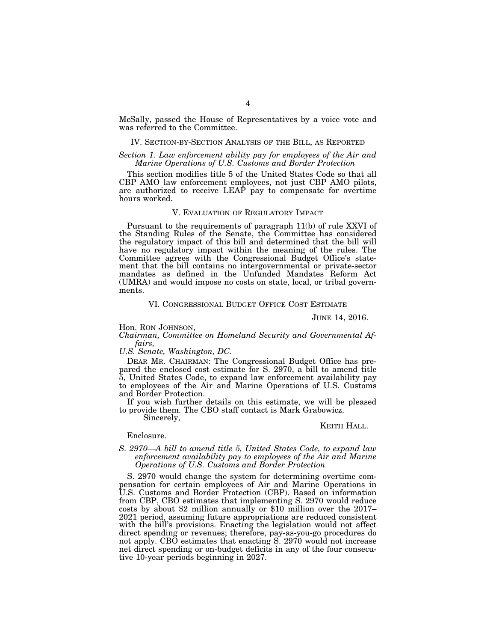McSally, passed the House of Representatives by a voice vote and was referred to the Committee.

#### IV. SECTION-BY-SECTION ANALYSIS OF THE BILL, AS REPORTED

#### *Section 1. Law enforcement ability pay for employees of the Air and Marine Operations of U.S. Customs and Border Protection*

This section modifies title 5 of the United States Code so that all CBP AMO law enforcement employees, not just CBP AMO pilots, are authorized to receive LEAP pay to compensate for overtime hours worked.

#### V. EVALUATION OF REGULATORY IMPACT

Pursuant to the requirements of paragraph 11(b) of rule XXVI of the Standing Rules of the Senate, the Committee has considered the regulatory impact of this bill and determined that the bill will have no regulatory impact within the meaning of the rules. The Committee agrees with the Congressional Budget Office's statement that the bill contains no intergovernmental or private-sector mandates as defined in the Unfunded Mandates Reform Act (UMRA) and would impose no costs on state, local, or tribal governments.

#### VI. CONGRESSIONAL BUDGET OFFICE COST ESTIMATE

#### JUNE 14, 2016.

Hon. RON JOHNSON,

#### *Chairman, Committee on Homeland Security and Governmental Affairs,*

*U.S. Senate, Washington, DC.* 

DEAR MR. CHAIRMAN: The Congressional Budget Office has prepared the enclosed cost estimate for S. 2970, a bill to amend title 5, United States Code, to expand law enforcement availability pay to employees of the Air and Marine Operations of U.S. Customs and Border Protection.

If you wish further details on this estimate, we will be pleased to provide them. The CBO staff contact is Mark Grabowicz.

Sincerely,

#### KEITH HALL.

#### Enclosure.

#### *S. 2970—A bill to amend title 5, United States Code, to expand law enforcement availability pay to employees of the Air and Marine Operations of U.S. Customs and Border Protection*

S. 2970 would change the system for determining overtime compensation for certain employees of Air and Marine Operations in U.S. Customs and Border Protection (CBP). Based on information from CBP, CBO estimates that implementing S. 2970 would reduce costs by about \$2 million annually or \$10 million over the 2017– 2021 period, assuming future appropriations are reduced consistent with the bill's provisions. Enacting the legislation would not affect direct spending or revenues; therefore, pay-as-you-go procedures do not apply. CBO estimates that enacting S. 2970 would not increase net direct spending or on-budget deficits in any of the four consecutive 10-year periods beginning in 2027.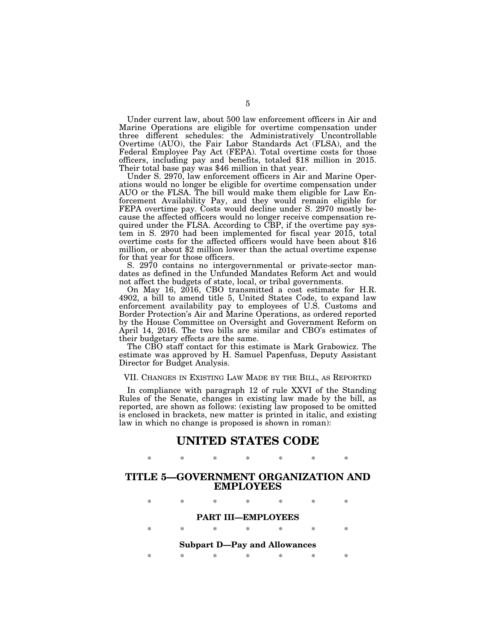Under current law, about 500 law enforcement officers in Air and Marine Operations are eligible for overtime compensation under three different schedules: the Administratively Uncontrollable Overtime (AUO), the Fair Labor Standards Act (FLSA), and the Federal Employee Pay Act (FEPA). Total overtime costs for those officers, including pay and benefits, totaled \$18 million in 2015. Their total base pay was \$46 million in that year.

Under S. 2970, law enforcement officers in Air and Marine Operations would no longer be eligible for overtime compensation under AUO or the FLSA. The bill would make them eligible for Law Enforcement Availability Pay, and they would remain eligible for FEPA overtime pay. Costs would decline under S. 2970 mostly because the affected officers would no longer receive compensation required under the FLSA. According to CBP, if the overtime pay system in S. 2970 had been implemented for fiscal year 2015, total overtime costs for the affected officers would have been about \$16 million, or about \$2 million lower than the actual overtime expense for that year for those officers.

S. 2970 contains no intergovernmental or private-sector mandates as defined in the Unfunded Mandates Reform Act and would not affect the budgets of state, local, or tribal governments.

On May 16, 2016, CBO transmitted a cost estimate for H.R. 4902, a bill to amend title 5, United States Code, to expand law enforcement availability pay to employees of U.S. Customs and Border Protection's Air and Marine Operations, as ordered reported by the House Committee on Oversight and Government Reform on April 14, 2016. The two bills are similar and CBO's estimates of their budgetary effects are the same.

The CBO staff contact for this estimate is Mark Grabowicz. The estimate was approved by H. Samuel Papenfuss, Deputy Assistant Director for Budget Analysis.

VII. CHANGES IN EXISTING LAW MADE BY THE BILL, AS REPORTED

In compliance with paragraph 12 of rule XXVI of the Standing Rules of the Senate, changes in existing law made by the bill, as reported, are shown as follows: (existing law proposed to be omitted is enclosed in brackets, new matter is printed in italic, and existing law in which no change is proposed is shown in roman):

## **UNITED STATES CODE**

\* \* \* \* \* \* \*

### **TITLE 5—GOVERNMENT ORGANIZATION AND EMPLOYEES**

| ∗                                   | ×.     | ∗ | $\ast$ | * | × | × |  |  |  |
|-------------------------------------|--------|---|--------|---|---|---|--|--|--|
| <b>PART III-EMPLOYEES</b>           |        |   |        |   |   |   |  |  |  |
| ×                                   | $\ast$ | ∗ | *      | * | × | × |  |  |  |
| <b>Subpart D-Pay and Allowances</b> |        |   |        |   |   |   |  |  |  |
| ×                                   | ×.     | * | ×      | × | × | × |  |  |  |